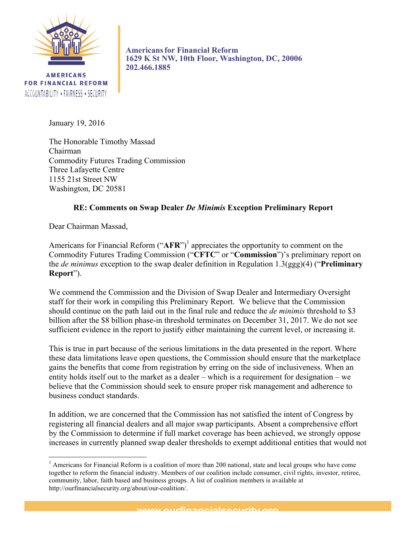

**AMERICANS FOR FINANCIAL REFORM** ACCOUNTABILITY \* FAIRNESS \* SECURITY

**Americansfor Financial Reform 1629 K St NW, 10th Floor, Washington, DC, 20006 202.466.1885**

January 19, 2016

The Honorable Timothy Massad Chairman Commodity Futures Trading Commission Three Lafayette Centre 1155 21st Street NW Washington, DC 20581

# **RE: Comments on Swap Dealer** *De Minimis* **Exception Preliminary Report**

Dear Chairman Massad,

<u> 1989 - Johann Stein, markin film yn y breninn y breninn y breninn y breninn y breninn y breninn y breninn y b</u>

Americans for Financial Reform ("AFR")<sup>1</sup> appreciates the opportunity to comment on the Commodity Futures Trading Commission ("**CFTC**" or "**Commission**")'s preliminary report on the *de minimus* exception to the swap dealer definition in Regulation 1.3(ggg)(4) ("**Preliminary Report**").

We commend the Commission and the Division of Swap Dealer and Intermediary Oversight staff for their work in compiling this Preliminary Report. We believe that the Commission should continue on the path laid out in the final rule and reduce the *de minimis* threshold to \$3 billion after the \$8 billion phase-in threshold terminates on December 31, 2017. We do not see sufficient evidence in the report to justify either maintaining the current level, or increasing it.

This is true in part because of the serious limitations in the data presented in the report. Where these data limitations leave open questions, the Commission should ensure that the marketplace gains the benefits that come from registration by erring on the side of inclusiveness. When an entity holds itself out to the market as a dealer – which is a requirement for designation – we believe that the Commission should seek to ensure proper risk management and adherence to business conduct standards.

In addition, we are concerned that the Commission has not satisfied the intent of Congress by registering all financial dealers and all major swap participants. Absent a comprehensive effort by the Commission to determine if full market coverage has been achieved, we strongly oppose increases in currently planned swap dealer thresholds to exempt additional entities that would not

 $1$  Americans for Financial Reform is a coalition of more than 200 national, state and local groups who have come together to reform the financial industry. Members of our coalition include consumer, civil rights, investor, retiree, community, labor, faith based and business groups. A list of coalition members is available at http://ourfinancialsecurity.org/about/our-coalition/.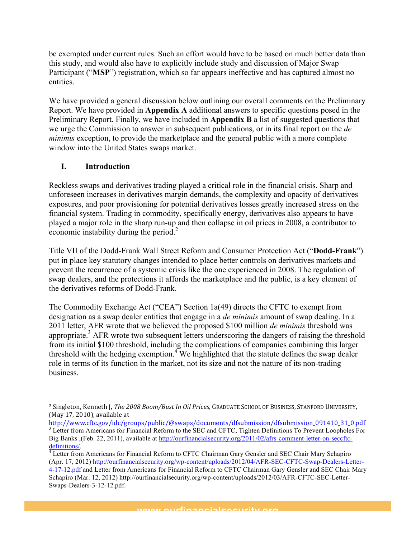be exempted under current rules. Such an effort would have to be based on much better data than this study, and would also have to explicitly include study and discussion of Major Swap Participant ("**MSP**") registration, which so far appears ineffective and has captured almost no entities.

We have provided a general discussion below outlining our overall comments on the Preliminary Report. We have provided in **Appendix A** additional answers to specific questions posed in the Preliminary Report. Finally, we have included in **Appendix B** a list of suggested questions that we urge the Commission to answer in subsequent publications, or in its final report on the *de minimis* exception, to provide the marketplace and the general public with a more complete window into the United States swaps market.

# **I. Introduction**

 

Reckless swaps and derivatives trading played a critical role in the financial crisis. Sharp and unforeseen increases in derivatives margin demands, the complexity and opacity of derivatives exposures, and poor provisioning for potential derivatives losses greatly increased stress on the financial system. Trading in commodity, specifically energy, derivatives also appears to have played a major role in the sharp run-up and then collapse in oil prices in 2008, a contributor to economic instability during the period. $<sup>2</sup>$ </sup>

Title VII of the Dodd-Frank Wall Street Reform and Consumer Protection Act ("**Dodd-Frank**") put in place key statutory changes intended to place better controls on derivatives markets and prevent the recurrence of a systemic crisis like the one experienced in 2008. The regulation of swap dealers, and the protections it affords the marketplace and the public, is a key element of the derivatives reforms of Dodd-Frank.

The Commodity Exchange Act ("CEA") Section 1a(49) directs the CFTC to exempt from designation as a swap dealer entities that engage in a *de minimis* amount of swap dealing. In a 2011 letter, AFR wrote that we believed the proposed \$100 million *de minimis* threshold was appropriate.3 AFR wrote two subsequent letters underscoring the dangers of raising the threshold from its initial \$100 threshold, including the complications of companies combining this larger threshold with the hedging exemption.<sup>4</sup> We highlighted that the statute defines the swap dealer role in terms of its function in the market, not its size and not the nature of its non-trading business.

<sup>&</sup>lt;sup>2</sup> Singleton, Kenneth J, *The 2008 Boom/Bust In Oil Prices*, GRADUATE SCHOOL OF BUSINESS, STANFORD UNIVERSITY, (May  $17, 2010$ ), available at

http://www.cftc.gov/idc/groups/public/@swaps/documents/dfsubmission/dfsubmission\_091410\_31\_0.pdf <sup>3</sup> Letter from Americans for Financial Reform to the SEC and CFTC, Tighten Definitions To Prevent Loopholes For Big Banks ,(Feb. 22, 2011), available at http://ourfinancialsecurity.org/2011/02/afrs-comment-letter-on-seccftcdefinitions/.<br><sup>4</sup> Letter from Americans for Financial Reform to CFTC Chairman Gary Gensler and SEC Chair Mary Schapiro

<sup>(</sup>Apr. 17, 2012) http://ourfinancialsecurity.org/wp-content/uploads/2012/04/AFR-SEC-CFTC-Swap-Dealers-Letter-4-17-12.pdf and Letter from Americans for Financial Reform to CFTC Chairman Gary Gensler and SEC Chair Mary Schapiro (Mar. 12, 2012) http://ourfinancialsecurity.org/wp-content/uploads/2012/03/AFR-CFTC-SEC-Letter-Swaps-Dealers-3-12-12.pdf.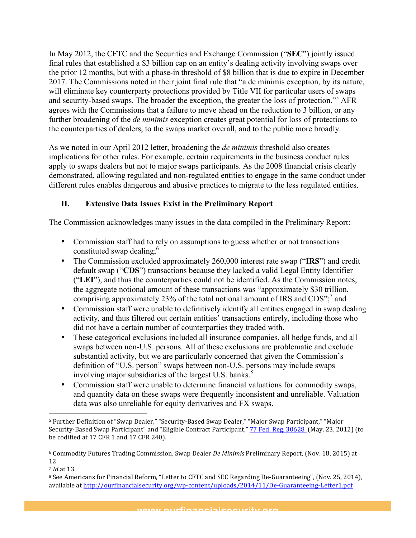In May 2012, the CFTC and the Securities and Exchange Commission ("**SEC**") jointly issued final rules that established a \$3 billion cap on an entity's dealing activity involving swaps over the prior 12 months, but with a phase-in threshold of \$8 billion that is due to expire in December 2017. The Commissions noted in their joint final rule that "a de minimis exception, by its nature, will eliminate key counterparty protections provided by Title VII for particular users of swaps and security-based swaps. The broader the exception, the greater the loss of protection."<sup>5</sup> AFR agrees with the Commissions that a failure to move ahead on the reduction to 3 billion, or any further broadening of the *de minimis* exception creates great potential for loss of protections to the counterparties of dealers, to the swaps market overall, and to the public more broadly.

As we noted in our April 2012 letter, broadening the *de minimis* threshold also creates implications for other rules. For example, certain requirements in the business conduct rules apply to swaps dealers but not to major swaps participants. As the 2008 financial crisis clearly demonstrated, allowing regulated and non-regulated entities to engage in the same conduct under different rules enables dangerous and abusive practices to migrate to the less regulated entities.

# **II. Extensive Data Issues Exist in the Preliminary Report**

The Commission acknowledges many issues in the data compiled in the Preliminary Report:

- Commission staff had to rely on assumptions to guess whether or not transactions constituted swap dealing;<sup>6</sup>
- The Commission excluded approximately 260,000 interest rate swap ("**IRS**") and credit default swap ("**CDS**") transactions because they lacked a valid Legal Entity Identifier ("**LEI**"), and thus the counterparties could not be identified. As the Commission notes, the aggregate notional amount of these transactions was "approximately \$30 trillion, comprising approximately 23% of the total notional amount of IRS and  $CDS$ <sup>", and</sup>
- Commission staff were unable to definitively identify all entities engaged in swap dealing activity, and thus filtered out certain entities' transactions entirely, including those who did not have a certain number of counterparties they traded with.
- These categorical exclusions included all insurance companies, all hedge funds, and all swaps between non-U.S. persons. All of these exclusions are problematic and exclude substantial activity, but we are particularly concerned that given the Commission's definition of "U.S. person" swaps between non-U.S. persons may include swaps involving major subsidiaries of the largest U.S. banks.<sup>8</sup>
- Commission staff were unable to determine financial valuations for commodity swaps, and quantity data on these swaps were frequently inconsistent and unreliable. Valuation data was also unreliable for equity derivatives and FX swaps.

<u> 1989 - Johann Stein, markin film yn y breninn y breninn y breninn y breninn y breninn y breninn y breninn y b</u>

<sup>&</sup>lt;sup>5</sup> Further Definition of "Swap Dealer," "Security-Based Swap Dealer," "Major Swap Participant," "Major Security-Based Swap Participant" and "Eligible Contract Participant," 77 Fed. Reg. 30628 (May. 23, 2012) (to be codified at 17 CFR 1 and 17 CFR 240).

<sup>&</sup>lt;sup>6</sup> Commodity Futures Trading Commission, Swap Dealer *De Minimis* Preliminary Report, (Nov. 18, 2015) at 12.

<sup>7</sup> *Id.*at 13.

<sup>&</sup>lt;sup>8</sup> See Americans for Financial Reform, "Letter to CFTC and SEC Regarding De-Guaranteeing", (Nov. 25, 2014), available at http://ourfinancialsecurity.org/wp-content/uploads/2014/11/De-Guaranteeing-Letter1.pdf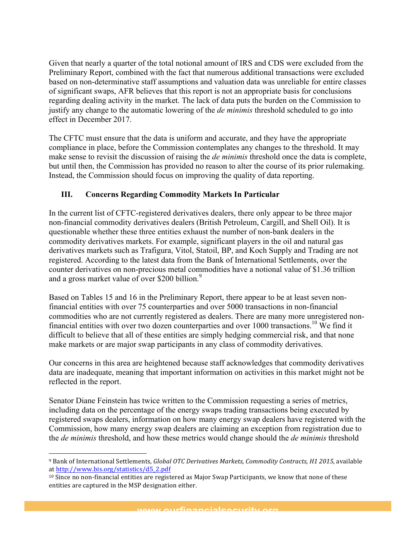Given that nearly a quarter of the total notional amount of IRS and CDS were excluded from the Preliminary Report, combined with the fact that numerous additional transactions were excluded based on non-determinative staff assumptions and valuation data was unreliable for entire classes of significant swaps, AFR believes that this report is not an appropriate basis for conclusions regarding dealing activity in the market. The lack of data puts the burden on the Commission to justify any change to the automatic lowering of the *de minimis* threshold scheduled to go into effect in December 2017.

The CFTC must ensure that the data is uniform and accurate, and they have the appropriate compliance in place, before the Commission contemplates any changes to the threshold. It may make sense to revisit the discussion of raising the *de minimis* threshold once the data is complete, but until then, the Commission has provided no reason to alter the course of its prior rulemaking. Instead, the Commission should focus on improving the quality of data reporting.

# **III. Concerns Regarding Commodity Markets In Particular**

In the current list of CFTC-registered derivatives dealers, there only appear to be three major non-financial commodity derivatives dealers (British Petroleum, Cargill, and Shell Oil). It is questionable whether these three entities exhaust the number of non-bank dealers in the commodity derivatives markets. For example, significant players in the oil and natural gas derivatives markets such as Trafigura, Vitol, Statoil, BP, and Koch Supply and Trading are not registered. According to the latest data from the Bank of International Settlements, over the counter derivatives on non-precious metal commodities have a notional value of \$1.36 trillion and a gross market value of over \$200 billion.<sup>9</sup>

Based on Tables 15 and 16 in the Preliminary Report, there appear to be at least seven nonfinancial entities with over 75 counterparties and over 5000 transactions in non-financial commodities who are not currently registered as dealers. There are many more unregistered nonfinancial entities with over two dozen counterparties and over 1000 transactions.<sup>10</sup> We find it difficult to believe that all of these entities are simply hedging commercial risk, and that none make markets or are major swap participants in any class of commodity derivatives.

Our concerns in this area are heightened because staff acknowledges that commodity derivatives data are inadequate, meaning that important information on activities in this market might not be reflected in the report.

Senator Diane Feinstein has twice written to the Commission requesting a series of metrics, including data on the percentage of the energy swaps trading transactions being executed by registered swaps dealers, information on how many energy swap dealers have registered with the Commission, how many energy swap dealers are claiming an exception from registration due to the *de minimis* threshold, and how these metrics would change should the *de minimis* threshold

<u> 1989 - Johann Stein, markin film yn y breninn y breninn y breninn y breninn y breninn y breninn y breninn y b</u>

www.ourfinancialcocurity.org

<sup>&</sup>lt;sup>9</sup> Bank of International Settlements, *Global OTC Derivatives Markets, Commodity Contracts, H1 2015*, available at http://www.bis.org/statistics/d5\_2.pdf

 $10$  Since no non-financial entities are registered as Major Swap Participants, we know that none of these entities are captured in the MSP designation either.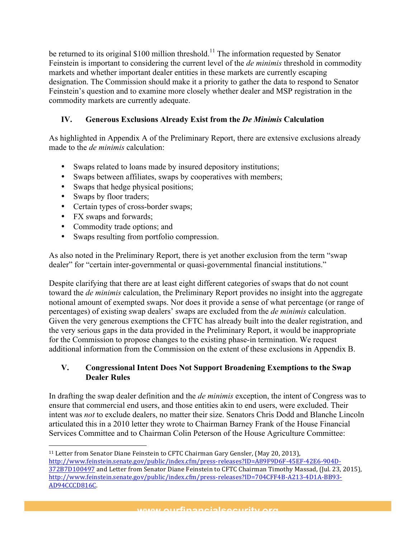be returned to its original \$100 million threshold.<sup>11</sup> The information requested by Senator Feinstein is important to considering the current level of the *de minimis* threshold in commodity markets and whether important dealer entities in these markets are currently escaping designation. The Commission should make it a priority to gather the data to respond to Senator Feinstein's question and to examine more closely whether dealer and MSP registration in the commodity markets are currently adequate.

# **IV. Generous Exclusions Already Exist from the** *De Minimis* **Calculation**

As highlighted in Appendix A of the Preliminary Report, there are extensive exclusions already made to the *de minimis* calculation:

- Swaps related to loans made by insured depository institutions;
- Swaps between affiliates, swaps by cooperatives with members;
- Swaps that hedge physical positions;
- Swaps by floor traders;
- Certain types of cross-border swaps;
- FX swaps and forwards;

 

- Commodity trade options; and
- Swaps resulting from portfolio compression.

As also noted in the Preliminary Report, there is yet another exclusion from the term "swap dealer" for "certain inter-governmental or quasi-governmental financial institutions."

Despite clarifying that there are at least eight different categories of swaps that do not count toward the *de minimis* calculation, the Preliminary Report provides no insight into the aggregate notional amount of exempted swaps. Nor does it provide a sense of what percentage (or range of percentages) of existing swap dealers' swaps are excluded from the *de minimis* calculation. Given the very generous exemptions the CFTC has already built into the dealer registration, and the very serious gaps in the data provided in the Preliminary Report, it would be inappropriate for the Commission to propose changes to the existing phase-in termination. We request additional information from the Commission on the extent of these exclusions in Appendix B.

### **V. Congressional Intent Does Not Support Broadening Exemptions to the Swap Dealer Rules**

In drafting the swap dealer definition and the *de minimis* exception, the intent of Congress was to ensure that commercial end users, and those entities akin to end users, were excluded. Their intent was *not* to exclude dealers, no matter their size. Senators Chris Dodd and Blanche Lincoln articulated this in a 2010 letter they wrote to Chairman Barney Frank of the House Financial Services Committee and to Chairman Colin Peterson of the House Agriculture Committee:

 $11$  Letter from Senator Diane Feinstein to CFTC Chairman Gary Gensler, (May 20, 2013), http://www.feinstein.senate.gov/public/index.cfm/press-releases?ID=A89F9D6F-45EF-42E6-904D-372B7D100497 and Letter from Senator Diane Feinstein to CFTC Chairman Timothy Massad, (Jul. 23, 2015), http://www.feinstein.senate.gov/public/index.cfm/press-releases?ID=704CFF4B-A213-4D1A-BB93- AD94CCCD816C.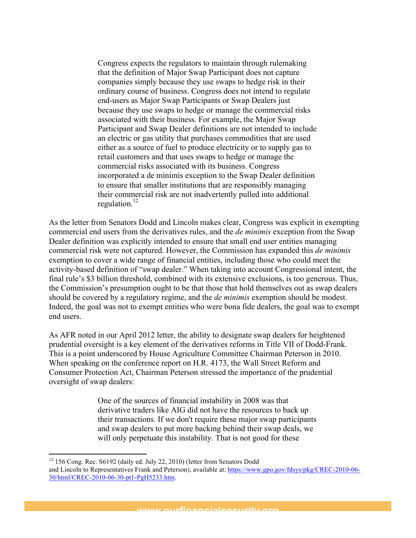Congress expects the regulators to maintain through rulemaking that the definition of Major Swap Participant does not capture companies simply because they use swaps to hedge risk in their ordinary course of business. Congress does not intend to regulate end-users as Major Swap Participants or Swap Dealers just because they use swaps to hedge or manage the commercial risks associated with their business. For example, the Major Swap Participant and Swap Dealer definitions are not intended to include an electric or gas utility that purchases commodities that are used either as a source of fuel to produce electricity or to supply gas to retail customers and that uses swaps to hedge or manage the commercial risks associated with its business. Congress incorporated a de minimis exception to the Swap Dealer definition to ensure that smaller institutions that are responsibly managing their commercial risk are not inadvertently pulled into additional regulation.12

As the letter from Senators Dodd and Lincoln makes clear, Congress was explicit in exempting commercial end users from the derivatives rules, and the *de minimis* exception from the Swap Dealer definition was explicitly intended to ensure that small end user entities managing commercial risk were not captured. However, the Commission has expanded this *de minimis* exemption to cover a wide range of financial entities, including those who could meet the activity-based definition of "swap dealer." When taking into account Congressional intent, the final rule's \$3 billion threshold, combined with its extensive exclusions, is too generous. Thus, the Commission's presumption ought to be that those that hold themselves out as swap dealers should be covered by a regulatory regime, and the *de minimis* exemption should be modest. Indeed, the goal was not to exempt entities who were bona fide dealers, the goal was to exempt end users.

As AFR noted in our April 2012 letter, the ability to designate swap dealers for heightened prudential oversight is a key element of the derivatives reforms in Title VII of Dodd-Frank. This is a point underscored by House Agriculture Committee Chairman Peterson in 2010. When speaking on the conference report on H.R. 4173, the Wall Street Reform and Consumer Protection Act, Chairman Peterson stressed the importance of the prudential oversight of swap dealers:

> One of the sources of financial instability in 2008 was that derivative traders like AIG did not have the resources to back up their transactions. If we don't require these major swap participants and swap dealers to put more backing behind their swap deals, we will only perpetuate this instability. That is not good for these

<u> 1989 - Johann Stein, markin film yn y breninn y breninn y breninn y breninn y breninn y breninn y breninn y b</u>

<sup>&</sup>lt;sup>12</sup> 156 Cong. Rec. S6192 (daily ed. July 22, 2010) (letter from Senators Dodd

and Lincoln to Representatives Frank and Peterson), available at: https://www.gpo.gov/fdsys/pkg/CREC-2010-06- 30/html/CREC-2010-06-30-pt1-PgH5233.htm.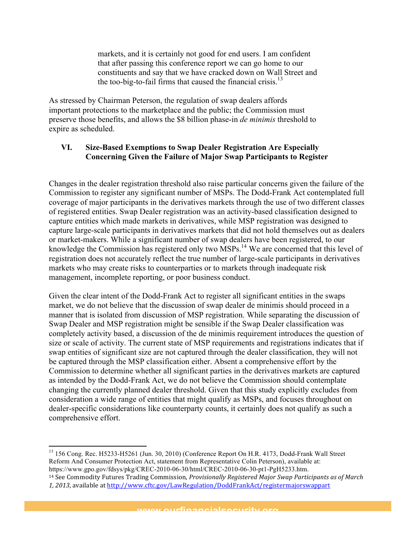markets, and it is certainly not good for end users. I am confident that after passing this conference report we can go home to our constituents and say that we have cracked down on Wall Street and the too-big-to-fail firms that caused the financial crisis.<sup>13</sup>

As stressed by Chairman Peterson, the regulation of swap dealers affords important protections to the marketplace and the public; the Commission must preserve those benefits, and allows the \$8 billion phase-in *de minimis* threshold to expire as scheduled.

#### **VI. Size-Based Exemptions to Swap Dealer Registration Are Especially Concerning Given the Failure of Major Swap Participants to Register**

Changes in the dealer registration threshold also raise particular concerns given the failure of the Commission to register any significant number of MSPs. The Dodd-Frank Act contemplated full coverage of major participants in the derivatives markets through the use of two different classes of registered entities. Swap Dealer registration was an activity-based classification designed to capture entities which made markets in derivatives, while MSP registration was designed to capture large-scale participants in derivatives markets that did not hold themselves out as dealers or market-makers. While a significant number of swap dealers have been registered, to our knowledge the Commission has registered only two  $\overline{MSPs}$ <sup>14</sup>. We are concerned that this level of registration does not accurately reflect the true number of large-scale participants in derivatives markets who may create risks to counterparties or to markets through inadequate risk management, incomplete reporting, or poor business conduct.

Given the clear intent of the Dodd-Frank Act to register all significant entities in the swaps market, we do not believe that the discussion of swap dealer de minimis should proceed in a manner that is isolated from discussion of MSP registration. While separating the discussion of Swap Dealer and MSP registration might be sensible if the Swap Dealer classification was completely activity based, a discussion of the de minimis requirement introduces the question of size or scale of activity. The current state of MSP requirements and registrations indicates that if swap entities of significant size are not captured through the dealer classification, they will not be captured through the MSP classification either. Absent a comprehensive effort by the Commission to determine whether all significant parties in the derivatives markets are captured as intended by the Dodd-Frank Act, we do not believe the Commission should contemplate changing the currently planned dealer threshold. Given that this study explicitly excludes from consideration a wide range of entities that might qualify as MSPs, and focuses throughout on dealer-specific considerations like counterparty counts, it certainly does not qualify as such a comprehensive effort.

<u> 1989 - Johann Stein, markin film yn y breninn y breninn y breninn y breninn y breninn y breninn y breninn y b</u> <sup>13</sup> 156 Cong. Rec. H5233-H5261 (Jun. 30, 2010) (Conference Report On H.R. 4173, Dodd-Frank Wall Street Reform And Consumer Protection Act, statement from Representative Colin Peterson), available at: https://www.gpo.gov/fdsys/pkg/CREC-2010-06-30/html/CREC-2010-06-30-pt1-PgH5233.htm.

<sup>14</sup> See Commodity Futures Trading Commission, *Provisionally Registered Major Swap Participants as of March* 1, 2013, available at http://www.cftc.gov/LawRegulation/DoddFrankAct/registermajorswappart

www.ourfinancialcocurity.org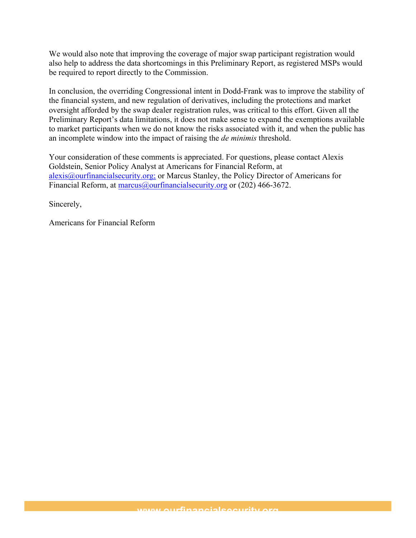We would also note that improving the coverage of major swap participant registration would also help to address the data shortcomings in this Preliminary Report, as registered MSPs would be required to report directly to the Commission.

In conclusion, the overriding Congressional intent in Dodd-Frank was to improve the stability of the financial system, and new regulation of derivatives, including the protections and market oversight afforded by the swap dealer registration rules, was critical to this effort. Given all the Preliminary Report's data limitations, it does not make sense to expand the exemptions available to market participants when we do not know the risks associated with it, and when the public has an incomplete window into the impact of raising the *de minimis* threshold.

Your consideration of these comments is appreciated. For questions, please contact Alexis Goldstein, Senior Policy Analyst at Americans for Financial Reform, at alexis@ourfinancialsecurity.org; or Marcus Stanley, the Policy Director of Americans for Financial Reform, at marcus@ourfinancialsecurity.org or (202) 466-3672.

Sincerely,

Americans for Financial Reform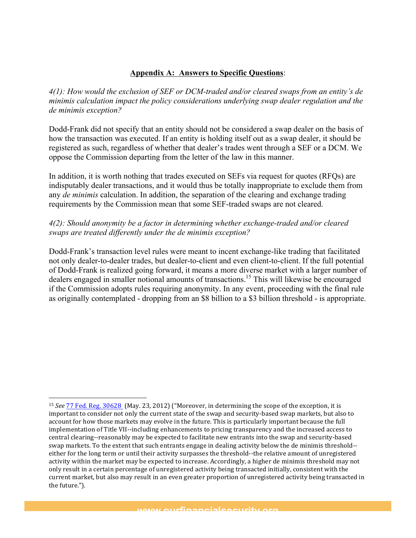### **Appendix A: Answers to Specific Questions**:

*4(1): How would the exclusion of SEF or DCM-traded and/or cleared swaps from an entity's de minimis calculation impact the policy considerations underlying swap dealer regulation and the de minimis exception?* 

Dodd-Frank did not specify that an entity should not be considered a swap dealer on the basis of how the transaction was executed. If an entity is holding itself out as a swap dealer, it should be registered as such, regardless of whether that dealer's trades went through a SEF or a DCM. We oppose the Commission departing from the letter of the law in this manner.

In addition, it is worth nothing that trades executed on SEFs via request for quotes (RFQs) are indisputably dealer transactions, and it would thus be totally inappropriate to exclude them from any *de minimis* calculation. In addition, the separation of the clearing and exchange trading requirements by the Commission mean that some SEF-traded swaps are not cleared.

### *4(2): Should anonymity be a factor in determining whether exchange-traded and/or cleared swaps are treated differently under the de minimis exception?*

Dodd-Frank's transaction level rules were meant to incent exchange-like trading that facilitated not only dealer-to-dealer trades, but dealer-to-client and even client-to-client. If the full potential of Dodd-Frank is realized going forward, it means a more diverse market with a larger number of dealers engaged in smaller notional amounts of transactions.<sup>15</sup> This will likewise be encouraged if the Commission adopts rules requiring anonymity. In any event, proceeding with the final rule as originally contemplated - dropping from an \$8 billion to a \$3 billion threshold - is appropriate.

<u> 1989 - Johann Stein, markin film yn y breninn y breninn y breninn y breninn y breninn y breninn y breninn y b</u>

<sup>&</sup>lt;sup>15</sup> *See* 77 Fed. Reg. 30628 (May. 23, 2012) ("Moreover, in determining the scope of the exception, it is important to consider not only the current state of the swap and security-based swap markets, but also to account for how those markets may evolve in the future. This is particularly important because the full implementation of Title VII--including enhancements to pricing transparency and the increased access to central clearing--reasonably may be expected to facilitate new entrants into the swap and security-based swap markets. To the extent that such entrants engage in dealing activity below the de minimis threshold-either for the long term or until their activity surpasses the threshold--the relative amount of unregistered activity within the market may be expected to increase. Accordingly, a higher de minimis threshold may not only result in a certain percentage of unregistered activity being transacted initially, consistent with the current market, but also may result in an even greater proportion of unregistered activity being transacted in the future.").